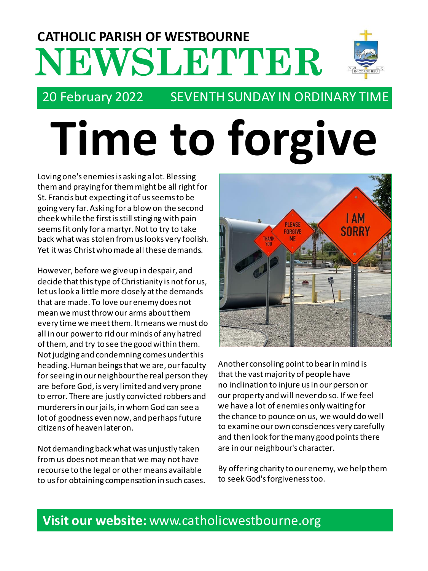# **NEWSLETTER CATHOLIC PARISH OF WESTBOURNE**



# 20 February 2022 SEVENTH SUNDAY IN ORDINARY TIME

# **Time to forgive**

Loving one's enemies is asking a lot. Blessing them and praying for them might be all right for St. Francis but expecting it of us seems to be going very far. Asking for a blow on the second cheek while the first is still stinging with pain seems fit only for a martyr. Not to try to take back what was stolen from us looks very foolish. Yet it was Christ who made all these demands.

However, before we give up in despair, and decide that this type of Christianity is not for us, let us look a little more closely at the demands that are made. To love our enemy does not mean we must throw our arms about them every time we meet them. It means we must do all in our power to rid our minds of any hatred of them, and try to see the good within them. Not judging and condemning comes under this heading. Human beings that we are, our faculty for seeing in our neighbour the real person they are before God, is very limited and very prone to error. There are justly convicted robbers and murderers in our jails, in whom God can see a lot of goodness even now, and perhaps future citizens of heaven later on.

Not demanding back what was unjustly taken from us does not mean that we may not have recourse to the legal or other means available to us for obtaining compensation in such cases.



Another consoling point to bear in mind is that the vast majority of people have no inclination to injure us in our person or our property and will never do so. If we feel we have a lot of enemies only waiting for the chance to pounce on us, we would do well to examine our own consciences very carefully and then look for the many good points there are in our neighbour's character.

By offering charity to our enemy, we help them to seek God's forgiveness too.

# **Visit our website:** www.catholicwestbourne.org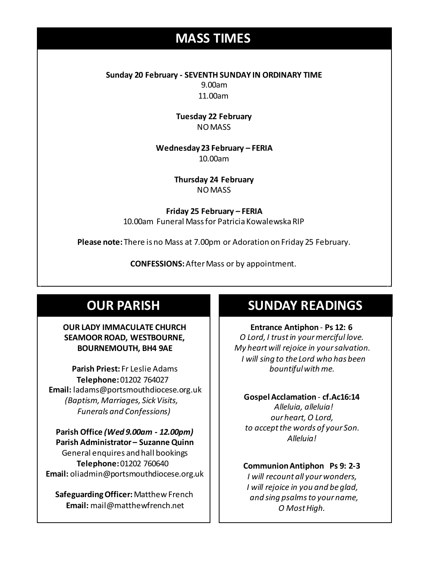# **MASS TIMES**

**Sunday 20 February - SEVENTH SUNDAY IN ORDINARY TIME** 9.00am 11.00am

> **Tuesday 22 February** NO MASS

**Wednesday 14th** *Repose of the souls of Bernard Charles and Elsie May Pratt* **Wednesday 23 February – FERIA** 10.00am

**Saturday 16th** *Rosemarie Schofield RIP* **Thursday 24 February** NO MASS

> **Friday 25 February – FERIA** 10.00am Funeral Mass for Patricia Kowalewska RIP

**Please note:** There is no Mass at 7.00pm or Adoration on Friday 25 February.

**CONFESSIONS:**After Mass or by appointment.

# **OUR PARISH**

#### **OUR LADY IMMACULATE CHURCH SEAMOOR ROAD, WESTBOURNE, BOURNEMOUTH, BH4 9AE**

**Parish Priest:** Fr Leslie Adams **Telephone:**01202 764027 **Email:** ladams@portsmouthdiocese.org.uk *(Baptism, Marriages, Sick Visits, Funerals and Confessions)*

**Parish Office** *(Wed 9.00am - 12.00pm)* **Parish Administrator – Suzanne Quinn** General enquires andhall bookings **Telephone:**01202 760640 **Email:** oliadmin@portsmouthdiocese.org.uk

**Safeguarding Officer:**Matthew French **Email:** mail@matthewfrench.net

# **SUNDAY READINGS**

**Entrance Antiphon** - **Ps 12: 6** *O Lord, I trust in your merciful love. My heart will rejoice in your salvation. I will sing to the Lord who has been bountiful with me.* 

**Gospel Acclamation** - **cf.Ac16:14** *Alleluia, alleluia! our heart, O Lord, to accept the words of your Son. Alleluia!* 

#### **Communion Antiphon Ps 9: 2-3**

*I will recount all your wonders, I will rejoice in you and be glad, and sing psalms to your name, O Most High.*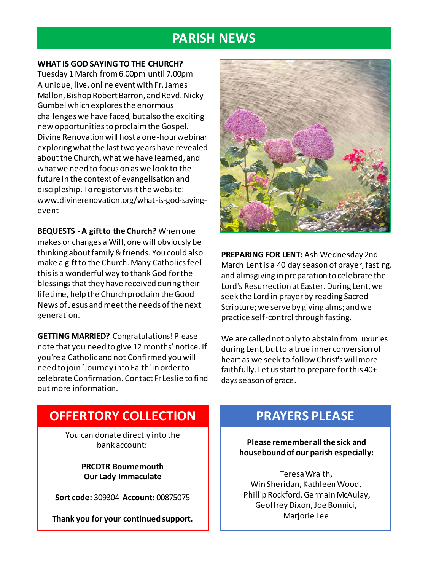# **PARISH NEWS**

#### **WHAT IS GOD SAYING TO THE CHURCH?**

Tuesday 1 March from 6.00pm until 7.00pm A unique, live, online event with Fr. James Mallon, Bishop Robert Barron, and Revd. Nicky Gumbel which explores the enormous challenges we have faced, but also the exciting new opportunities to proclaim the Gospel. Divine Renovation will host a one-hour webinar exploring what the last two years have revealed about the Church, what we have learned, and what we need to focus on as we look to the future in the context of evangelisation and discipleship. To register visit the website: www.divinerenovation.org/what-is-god-sayingevent

**BEQUESTS - A gift to the Church?** When one makes or changes a Will, one will obviously be thinking about family & friends. You could also make a gift to the Church. Many Catholics feel this is a wonderful way to thank God for the blessings that they have received during their lifetime, help the Church proclaim the Good News of Jesus and meet the needs of the next generation.

**GETTING MARRIED?** Congratulations! Please note that you need to give 12 months' notice. If you're a Catholic and not Confirmed you will need to join 'Journey into Faith' in order to celebrate Confirmation. Contact Fr Leslie to find out more information.



**PREPARING FOR LENT:** Ash Wednesday 2nd March Lent is a 40 day season of prayer, fasting, and almsgiving in preparation to celebrate the Lord's Resurrection at Easter. During Lent, we seek the Lord in prayer by reading Sacred Scripture; we serve by giving alms; and we practice self-control through fasting.

We are called not only to abstain from luxuries during Lent, but to a true inner conversion of heart as we seek to follow Christ's will more faithfully. Let us start to prepare for this 40+ days season of grace.

# **OFFERTORY COLLECTION**

You can donate directly into the bank account:

> **PRCDTR Bournemouth Our Lady Immaculate**

**Sort code:** 309304 **Account:** 00875075

**Thank you for your continued support.**

# **PRAYERS PLEASE**

**Please remember all the sick and housebound of our parish especially:**

Teresa Wraith, Win Sheridan, Kathleen Wood, Phillip Rockford, Germain McAulay, Geoffrey Dixon, Joe Bonnici, Marjorie Lee